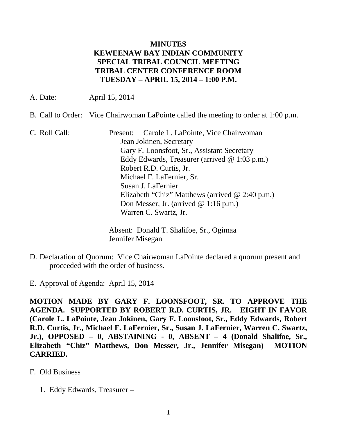## **MINUTES KEWEENAW BAY INDIAN COMMUNITY SPECIAL TRIBAL COUNCIL MEETING TRIBAL CENTER CONFERENCE ROOM TUESDAY – APRIL 15, 2014 – 1:00 P.M.**

A. Date: April 15, 2014

- B. Call to Order: Vice Chairwoman LaPointe called the meeting to order at 1:00 p.m.
- C. Roll Call: Present: Carole L. LaPointe, Vice Chairwoman Jean Jokinen, Secretary Gary F. Loonsfoot, Sr., Assistant Secretary Eddy Edwards, Treasurer (arrived @ 1:03 p.m.) Robert R.D. Curtis, Jr. Michael F. LaFernier, Sr. Susan J. LaFernier Elizabeth "Chiz" Matthews (arrived @ 2:40 p.m.) Don Messer, Jr. (arrived @ 1:16 p.m.) Warren C. Swartz, Jr.

Absent: Donald T. Shalifoe, Sr., Ogimaa Jennifer Misegan

- D. Declaration of Quorum: Vice Chairwoman LaPointe declared a quorum present and proceeded with the order of business.
- E. Approval of Agenda: April 15, 2014

**MOTION MADE BY GARY F. LOONSFOOT, SR. TO APPROVE THE AGENDA. SUPPORTED BY ROBERT R.D. CURTIS, JR. EIGHT IN FAVOR (Carole L. LaPointe, Jean Jokinen, Gary F. Loonsfoot, Sr., Eddy Edwards, Robert R.D. Curtis, Jr., Michael F. LaFernier, Sr., Susan J. LaFernier, Warren C. Swartz, Jr.), OPPOSED – 0, ABSTAINING - 0, ABSENT – 4 (Donald Shalifoe, Sr., Elizabeth "Chiz" Matthews, Don Messer, Jr., Jennifer Misegan) MOTION CARRIED.**

- F. Old Business
	- 1. Eddy Edwards, Treasurer –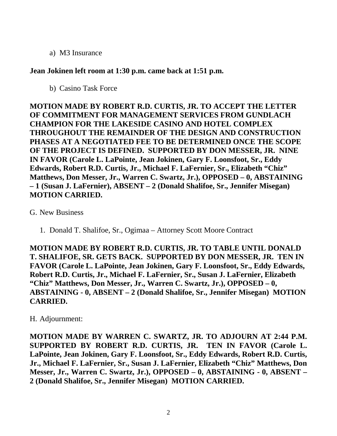a) M3 Insurance

## **Jean Jokinen left room at 1:30 p.m. came back at 1:51 p.m.**

b) Casino Task Force

**MOTION MADE BY ROBERT R.D. CURTIS, JR. TO ACCEPT THE LETTER OF COMMITMENT FOR MANAGEMENT SERVICES FROM GUNDLACH CHAMPION FOR THE LAKESIDE CASINO AND HOTEL COMPLEX THROUGHOUT THE REMAINDER OF THE DESIGN AND CONSTRUCTION PHASES AT A NEGOTIATED FEE TO BE DETERMINED ONCE THE SCOPE OF THE PROJECT IS DEFINED. SUPPORTED BY DON MESSER, JR. NINE IN FAVOR (Carole L. LaPointe, Jean Jokinen, Gary F. Loonsfoot, Sr., Eddy Edwards, Robert R.D. Curtis, Jr., Michael F. LaFernier, Sr., Elizabeth "Chiz" Matthews, Don Messer, Jr., Warren C. Swartz, Jr.), OPPOSED – 0, ABSTAINING – 1 (Susan J. LaFernier), ABSENT – 2 (Donald Shalifoe, Sr., Jennifer Misegan) MOTION CARRIED.**

## G. New Business

1. Donald T. Shalifoe, Sr., Ogimaa – Attorney Scott Moore Contract

**MOTION MADE BY ROBERT R.D. CURTIS, JR. TO TABLE UNTIL DONALD T. SHALIFOE, SR. GETS BACK. SUPPORTED BY DON MESSER, JR. TEN IN FAVOR (Carole L. LaPointe, Jean Jokinen, Gary F. Loonsfoot, Sr., Eddy Edwards, Robert R.D. Curtis, Jr., Michael F. LaFernier, Sr., Susan J. LaFernier, Elizabeth "Chiz" Matthews, Don Messer, Jr., Warren C. Swartz, Jr.), OPPOSED – 0, ABSTAINING - 0, ABSENT – 2 (Donald Shalifoe, Sr., Jennifer Misegan) MOTION CARRIED.**

## H. Adjournment:

**MOTION MADE BY WARREN C. SWARTZ, JR. TO ADJOURN AT 2:44 P.M. SUPPORTED BY ROBERT R.D. CURTIS, JR. TEN IN FAVOR (Carole L. LaPointe, Jean Jokinen, Gary F. Loonsfoot, Sr., Eddy Edwards, Robert R.D. Curtis, Jr., Michael F. LaFernier, Sr., Susan J. LaFernier, Elizabeth "Chiz" Matthews, Don Messer, Jr., Warren C. Swartz, Jr.), OPPOSED – 0, ABSTAINING - 0, ABSENT – 2 (Donald Shalifoe, Sr., Jennifer Misegan) MOTION CARRIED.**